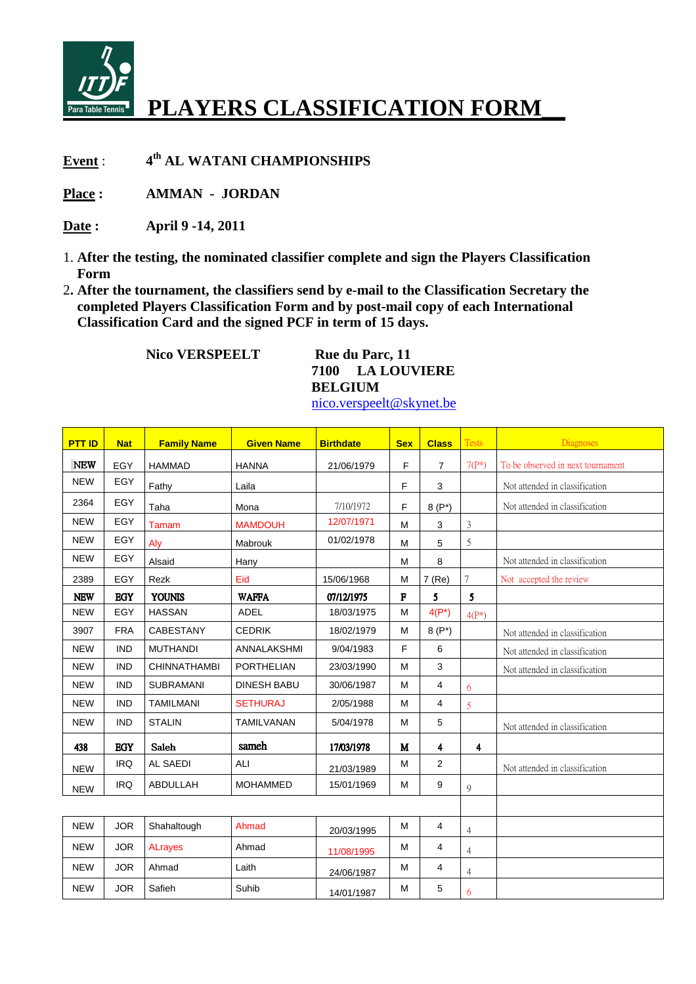

## **PLAYERS CLASSIFICATION FORM\_\_**

**Event** : **th AL WATANI CHAMPIONSHIPS** 

**Place : AMMAN - JORDAN** 

**Date : April 9 -14, 2011** 

- 1. **After the testing, the nominated classifier complete and sign the Players Classification Form**
- 2**. After the tournament, the classifiers send by e-mail to the Classification Secretary the completed Players Classification Form and by post-mail copy of each International Classification Card and the signed PCF in term of 15 days.**

**Nico VERSPEELT** Rue du Parc, 11

**7100 LA LOUVIERE BELGIUM**  nico.verspeelt@skynet.be

| <b>PTT ID</b> | <b>Nat</b> | <b>Family Name</b>  | <b>Given Name</b>  | <b>Birthdate</b> | <b>Sex</b> | <b>Class</b>   | <b>Tests</b>            | <b>Diagnoses</b>                  |
|---------------|------------|---------------------|--------------------|------------------|------------|----------------|-------------------------|-----------------------------------|
| <b>NEW</b>    | EGY        | <b>HAMMAD</b>       | <b>HANNA</b>       | 21/06/1979       | F          | $\overline{7}$ | $7(P^*)$                | To be observed in next tournament |
| <b>NEW</b>    | EGY        | Fathy               | Laila              |                  | F          | 3              |                         | Not attended in classification    |
| 2364          | <b>EGY</b> | Taha                | Mona               | 7/10/1972        | F          | $8(P^*)$       |                         | Not attended in classification    |
| <b>NEW</b>    | EGY        | Tamam               | <b>MAMDOUH</b>     | 12/07/1971       | M          | 3              | 3                       |                                   |
| <b>NEW</b>    | <b>EGY</b> | Aly                 | Mabrouk            | 01/02/1978       | M          | 5              | 5                       |                                   |
| <b>NEW</b>    | EGY        | Alsaid              | Hany               |                  | M          | 8              |                         | Not attended in classification    |
| 2389          | EGY        | Rezk                | Eid                | 15/06/1968       | M          | 7(Re)          | 7                       | Not accepted the review           |
| <b>NEW</b>    | <b>EGY</b> | <b>YOUNIS</b>       | <b>WAFFA</b>       | 07/12/1975       | $\bf F$    | 5              | 5                       |                                   |
| <b>NEW</b>    | EGY        | <b>HASSAN</b>       | <b>ADEL</b>        | 18/03/1975       | M          | $4(P^*)$       | $4(P^*)$                |                                   |
| 3907          | <b>FRA</b> | CABESTANY           | <b>CEDRIK</b>      | 18/02/1979       | M          | $8(P^*)$       |                         | Not attended in classification    |
| <b>NEW</b>    | <b>IND</b> | <b>MUTHANDI</b>     | ANNALAKSHMI        | 9/04/1983        | F          | 6              |                         | Not attended in classification    |
| <b>NEW</b>    | <b>IND</b> | <b>CHINNATHAMBI</b> | <b>PORTHELIAN</b>  | 23/03/1990       | M          | 3              |                         | Not attended in classification    |
| <b>NEW</b>    | <b>IND</b> | <b>SUBRAMANI</b>    | <b>DINESH BABU</b> | 30/06/1987       | M          | 4              | 6                       |                                   |
| <b>NEW</b>    | <b>IND</b> | <b>TAMILMANI</b>    | <b>SETHURAJ</b>    | 2/05/1988        | M          | 4              | 5                       |                                   |
| <b>NEW</b>    | <b>IND</b> | <b>STALIN</b>       | <b>TAMILVANAN</b>  | 5/04/1978        | M          | 5              |                         | Not attended in classification    |
| 438           | <b>EGY</b> | Saleh               | sameh              | 17/03/1978       | M          | 4              | $\overline{\mathbf{4}}$ |                                   |
| <b>NEW</b>    | <b>IRQ</b> | AL SAEDI            | ALI                | 21/03/1989       | M          | $\overline{2}$ |                         | Not attended in classification    |
| <b>NEW</b>    | <b>IRQ</b> | <b>ABDULLAH</b>     | <b>MOHAMMED</b>    | 15/01/1969       | M          | 9              | 9                       |                                   |
|               |            |                     |                    |                  |            |                |                         |                                   |
| <b>NEW</b>    | <b>JOR</b> | Shahaltough         | Ahmad              | 20/03/1995       | M          | 4              | $\overline{4}$          |                                   |
| <b>NEW</b>    | <b>JOR</b> | <b>ALrayes</b>      | Ahmad              | 11/08/1995       | M          | 4              | $\overline{4}$          |                                   |
| <b>NEW</b>    | <b>JOR</b> | Ahmad               | Laith              | 24/06/1987       | M          | 4              | $\overline{4}$          |                                   |
| <b>NEW</b>    | <b>JOR</b> | Safieh              | Suhib              | 14/01/1987       | M          | 5              | 6                       |                                   |